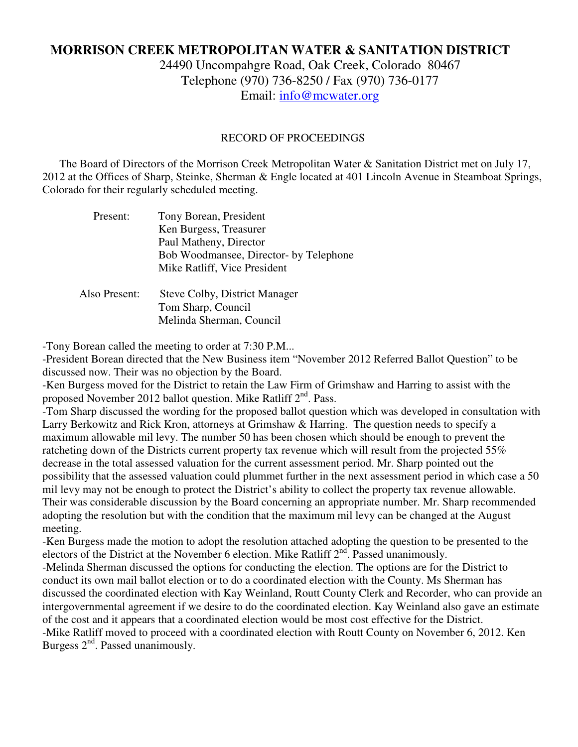# **MORRISON CREEK METROPOLITAN WATER & SANITATION DISTRICT**

24490 Uncompahgre Road, Oak Creek, Colorado 80467 Telephone (970) 736-8250 / Fax (970) 736-0177 Email: info@mcwater.org

#### RECORD OF PROCEEDINGS

 The Board of Directors of the Morrison Creek Metropolitan Water & Sanitation District met on July 17, 2012 at the Offices of Sharp, Steinke, Sherman & Engle located at 401 Lincoln Avenue in Steamboat Springs, Colorado for their regularly scheduled meeting.

| Present:      | Tony Borean, President                 |
|---------------|----------------------------------------|
|               | Ken Burgess, Treasurer                 |
|               | Paul Matheny, Director                 |
|               | Bob Woodmansee, Director- by Telephone |
|               | Mike Ratliff, Vice President           |
| Also Present: | <b>Steve Colby, District Manager</b>   |
|               | Tom Sharp, Council                     |
|               |                                        |
|               | Melinda Sherman, Council               |

-Tony Borean called the meeting to order at 7:30 P.M...

-President Borean directed that the New Business item "November 2012 Referred Ballot Question" to be discussed now. Their was no objection by the Board.

-Ken Burgess moved for the District to retain the Law Firm of Grimshaw and Harring to assist with the proposed November 2012 ballot question. Mike Ratliff 2<sup>nd</sup>. Pass.

-Tom Sharp discussed the wording for the proposed ballot question which was developed in consultation with Larry Berkowitz and Rick Kron, attorneys at Grimshaw & Harring. The question needs to specify a maximum allowable mil levy. The number 50 has been chosen which should be enough to prevent the ratcheting down of the Districts current property tax revenue which will result from the projected 55% decrease in the total assessed valuation for the current assessment period. Mr. Sharp pointed out the possibility that the assessed valuation could plummet further in the next assessment period in which case a 50 mil levy may not be enough to protect the District's ability to collect the property tax revenue allowable. Their was considerable discussion by the Board concerning an appropriate number. Mr. Sharp recommended adopting the resolution but with the condition that the maximum mil levy can be changed at the August meeting.

-Ken Burgess made the motion to adopt the resolution attached adopting the question to be presented to the electors of the District at the November 6 election. Mike Ratliff 2<sup>nd</sup>. Passed unanimously.

-Melinda Sherman discussed the options for conducting the election. The options are for the District to conduct its own mail ballot election or to do a coordinated election with the County. Ms Sherman has discussed the coordinated election with Kay Weinland, Routt County Clerk and Recorder, who can provide an intergovernmental agreement if we desire to do the coordinated election. Kay Weinland also gave an estimate of the cost and it appears that a coordinated election would be most cost effective for the District. -Mike Ratliff moved to proceed with a coordinated election with Routt County on November 6, 2012. Ken Burgess 2<sup>nd</sup>. Passed unanimously.